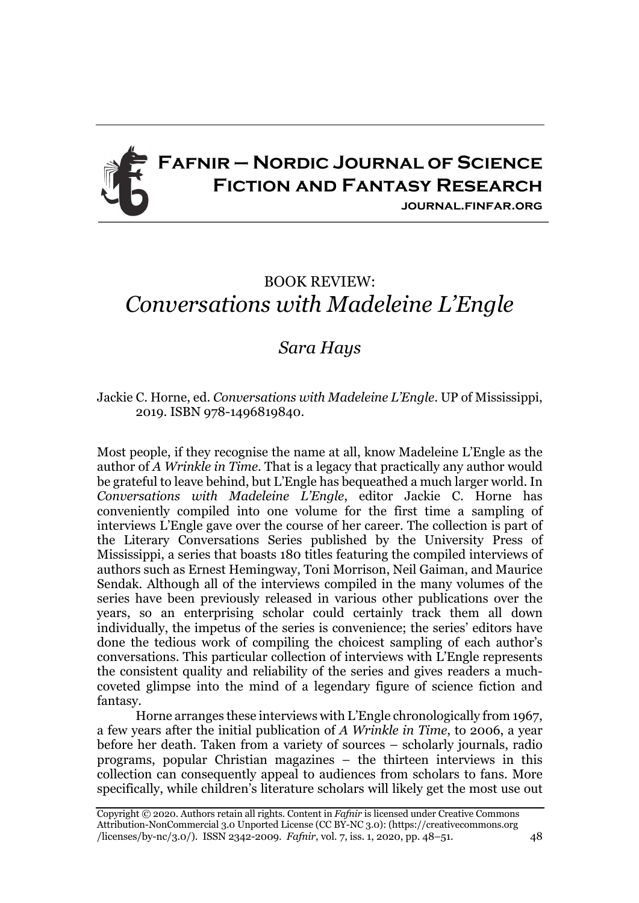

## BOOK REVIEW: *Conversations with Madeleine L'Engle*

## *Sara Hays*

## Jackie C. Horne, ed. *Conversations with Madeleine L'Engle*. UP of Mississippi, 2019. ISBN 978-1496819840.

Most people, if they recognise the name at all, know Madeleine L'Engle as the author of *A Wrinkle in Time*. That is a legacy that practically any author would be grateful to leave behind, but L'Engle has bequeathed a much larger world. In *Conversations with Madeleine L'Engle*, editor Jackie C. Horne has conveniently compiled into one volume for the first time a sampling of interviews L'Engle gave over the course of her career. The collection is part of the Literary Conversations Series published by the University Press of Mississippi, a series that boasts 180 titles featuring the compiled interviews of authors such as Ernest Hemingway, Toni Morrison, Neil Gaiman, and Maurice Sendak. Although all of the interviews compiled in the many volumes of the series have been previously released in various other publications over the years, so an enterprising scholar could certainly track them all down individually, the impetus of the series is convenience; the series' editors have done the tedious work of compiling the choicest sampling of each author's conversations. This particular collection of interviews with L'Engle represents the consistent quality and reliability of the series and gives readers a muchcoveted glimpse into the mind of a legendary figure of science fiction and fantasy.

Horne arranges these interviews with L'Engle chronologically from 1967, a few years after the initial publication of *A Wrinkle in Time*, to 2006, a year before her death. Taken from a variety of sources – scholarly journals, radio programs, popular Christian magazines – the thirteen interviews in this collection can consequently appeal to audiences from scholars to fans. More specifically, while children's literature scholars will likely get the most use out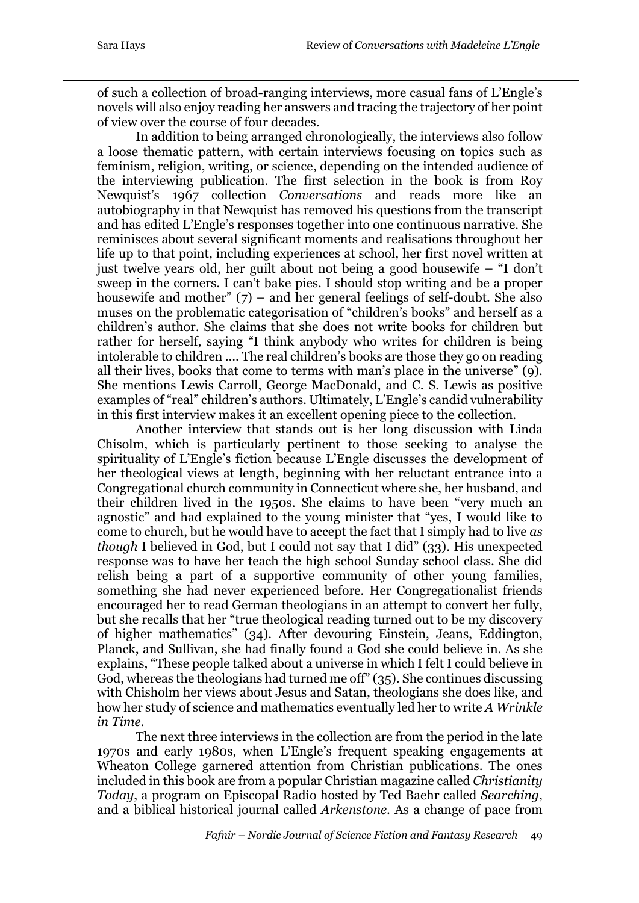of such a collection of broad-ranging interviews, more casual fans of L'Engle's novels will also enjoy reading her answers and tracing the trajectory of her point of view over the course of four decades.

In addition to being arranged chronologically, the interviews also follow a loose thematic pattern, with certain interviews focusing on topics such as feminism, religion, writing, or science, depending on the intended audience of the interviewing publication. The first selection in the book is from Roy Newquist's 1967 collection *Conversations* and reads more like an autobiography in that Newquist has removed his questions from the transcript and has edited L'Engle's responses together into one continuous narrative. She reminisces about several significant moments and realisations throughout her life up to that point, including experiences at school, her first novel written at just twelve years old, her guilt about not being a good housewife – "I don't sweep in the corners. I can't bake pies. I should stop writing and be a proper housewife and mother"  $(7)$  – and her general feelings of self-doubt. She also muses on the problematic categorisation of "children's books" and herself as a children's author. She claims that she does not write books for children but rather for herself, saying "I think anybody who writes for children is being intolerable to children …. The real children's books are those they go on reading all their lives, books that come to terms with man's place in the universe" (9). She mentions Lewis Carroll, George MacDonald, and C. S. Lewis as positive examples of "real" children's authors. Ultimately, L'Engle's candid vulnerability in this first interview makes it an excellent opening piece to the collection.

Another interview that stands out is her long discussion with Linda Chisolm, which is particularly pertinent to those seeking to analyse the spirituality of L'Engle's fiction because L'Engle discusses the development of her theological views at length, beginning with her reluctant entrance into a Congregational church community in Connecticut where she, her husband, and their children lived in the 1950s. She claims to have been "very much an agnostic" and had explained to the young minister that "yes, I would like to come to church, but he would have to accept the fact that I simply had to live *as though* I believed in God, but I could not say that I did" (33). His unexpected response was to have her teach the high school Sunday school class. She did relish being a part of a supportive community of other young families, something she had never experienced before. Her Congregationalist friends encouraged her to read German theologians in an attempt to convert her fully, but she recalls that her "true theological reading turned out to be my discovery of higher mathematics" (34). After devouring Einstein, Jeans, Eddington, Planck, and Sullivan, she had finally found a God she could believe in. As she explains, "These people talked about a universe in which I felt I could believe in God, whereas the theologians had turned me off" (35). She continues discussing with Chisholm her views about Jesus and Satan, theologians she does like, and how her study of science and mathematics eventually led her to write *A Wrinkle in Time*.

The next three interviews in the collection are from the period in the late 1970s and early 1980s, when L'Engle's frequent speaking engagements at Wheaton College garnered attention from Christian publications. The ones included in this book are from a popular Christian magazine called *Christianity Today*, a program on Episcopal Radio hosted by Ted Baehr called *Searching*, and a biblical historical journal called *Arkenstone*. As a change of pace from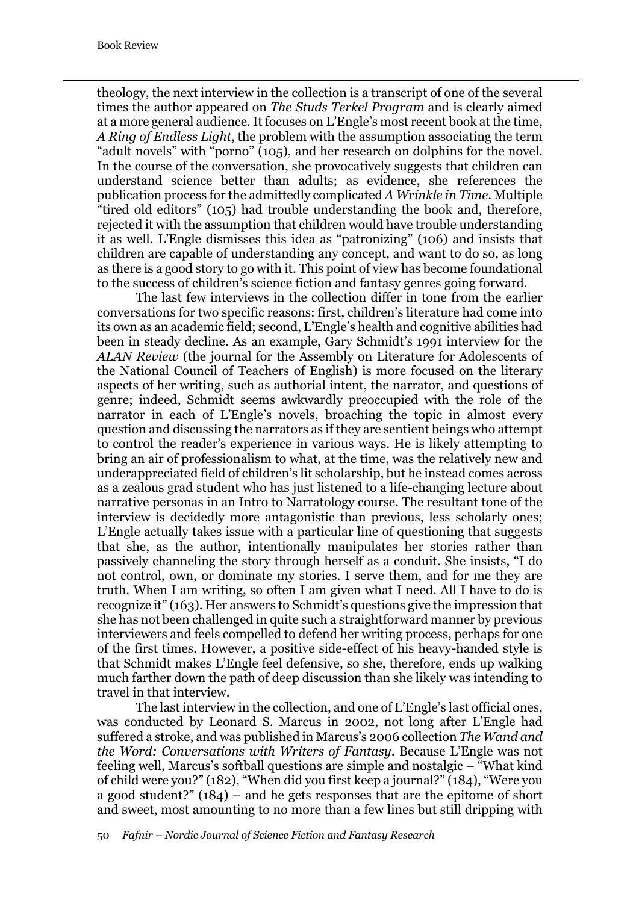theology, the next interview in the collection is a transcript of one of the several times the author appeared on *The Studs Terkel Program* and is clearly aimed at a more general audience. It focuses on L'Engle's most recent book at the time, *A Ring of Endless Light*, the problem with the assumption associating the term "adult novels" with "porno" (105), and her research on dolphins for the novel. In the course of the conversation, she provocatively suggests that children can understand science better than adults; as evidence, she references the publication process for the admittedly complicated *A Wrinkle in Time*. Multiple "tired old editors" (105) had trouble understanding the book and, therefore, rejected it with the assumption that children would have trouble understanding it as well. L'Engle dismisses this idea as "patronizing" (106) and insists that children are capable of understanding any concept, and want to do so, as long as there is a good story to go with it. This point of view has become foundational to the success of children's science fiction and fantasy genres going forward.

The last few interviews in the collection differ in tone from the earlier conversations for two specific reasons: first, children's literature had come into its own as an academic field; second, L'Engle's health and cognitive abilities had been in steady decline. As an example, Gary Schmidt's 1991 interview for the *ALAN Review* (the journal for the Assembly on Literature for Adolescents of the National Council of Teachers of English) is more focused on the literary aspects of her writing, such as authorial intent, the narrator, and questions of genre; indeed, Schmidt seems awkwardly preoccupied with the role of the narrator in each of L'Engle's novels, broaching the topic in almost every question and discussing the narrators as if they are sentient beings who attempt to control the reader's experience in various ways. He is likely attempting to bring an air of professionalism to what, at the time, was the relatively new and underappreciated field of children's lit scholarship, but he instead comes across as a zealous grad student who has just listened to a life-changing lecture about narrative personas in an Intro to Narratology course. The resultant tone of the interview is decidedly more antagonistic than previous, less scholarly ones; L'Engle actually takes issue with a particular line of questioning that suggests that she, as the author, intentionally manipulates her stories rather than passively channeling the story through herself as a conduit. She insists, "I do not control, own, or dominate my stories. I serve them, and for me they are truth. When I am writing, so often I am given what I need. All I have to do is recognize it" (163). Her answers to Schmidt's questions give the impression that she has not been challenged in quite such a straightforward manner by previous interviewers and feels compelled to defend her writing process, perhaps for one of the first times. However, a positive side-effect of his heavy-handed style is that Schmidt makes L'Engle feel defensive, so she, therefore, ends up walking much farther down the path of deep discussion than she likely was intending to travel in that interview.

The last interview in the collection, and one of L'Engle's last official ones, was conducted by Leonard S. Marcus in 2002, not long after L'Engle had suffered a stroke, and was published in Marcus's 2006 collection *The Wand and the Word: Conversations with Writers of Fantasy*. Because L'Engle was not feeling well, Marcus's softball questions are simple and nostalgic  $-\sqrt[n]{\ }$  What kind of child were you?" (182), "When did you first keep a journal?" (184), "Were you a good student?" (184) – and he gets responses that are the epitome of short and sweet, most amounting to no more than a few lines but still dripping with